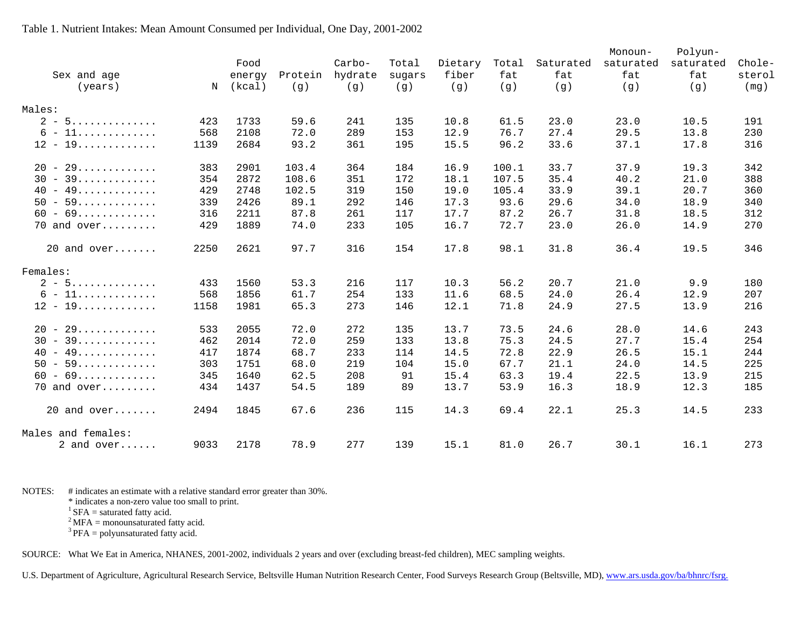# Monoun- Polyun- Food Carbo- Total Dietary Total Saturated saturated saturated Chole- Sex and age energy Protein hydrate sugars fiber fat fat fat fat sterol (years) N (kcal) (g) (g) (g) (g) (g) (g) (g) (g) (mg) Males: 2 - 5.............. 423 1733 59.6 241 135 10.8 61.5 23.0 23.0 10.5 191 6 - 11............. 568 2108 72.0 289 153 12.9 76.7 27.4 29.5 13.8 230 12 - 19............. 1139 2684 93.2 361 195 15.5 96.2 33.6 37.1 17.8 316 20 - 29............. 383 2901 103.4 364 184 16.9 100.1 33.7 37.9 19.3 342 30 - 39............. 354 2872 108.6 351 172 18.1 107.5 35.4 40.2 21.0 388 40 - 49............. 429 2748 102.5 319 150 19.0 105.4 33.9 39.1 20.7 360 50 - 59............. 339 2426 89.1 292 146 17.3 93.6 29.6 34.0 18.9 340 60 - 69............. 316 2211 87.8 261 117 17.7 87.2 26.7 31.8 18.5 312 70 and over......... 429 1889 74.0 233 105 16.7 72.7 23.0 26.0 14.9 270 20 and over....... 2250 2621 97.7 316 154 17.8 98.1 31.8 36.4 19.5 346 Females: 2 - 5.............. 433 1560 53.3 216 117 10.3 56.2 20.7 21.0 9.9 180 6 - 11............. 568 1856 61.7 254 133 11.6 68.5 24.0 26.4 12.9 207 12 - 19............. 1158 1981 65.3 273 146 12.1 71.8 24.9 27.5 13.9 216 20 - 29............. 533 2055 72.0 272 135 13.7 73.5 24.6 28.0 14.6 243 30 - 39............. 462 2014 72.0 259 133 13.8 75.3 24.5 27.7 15.4 254 40 - 49............. 417 1874 68.7 233 114 14.5 72.8 22.9 26.5 15.1 244 50 - 59............. 303 1751 68.0 219 104 15.0 67.7 21.1 24.0 14.5 225 60 - 69............. 345 1640 62.5 208 91 15.4 63.3 19.4 22.5 13.9 215 70 and over......... 434 1437 54.5 189 89 13.7 53.9 16.3 18.9 12.3 185 20 and over....... 2494 1845 67.6 236 115 14.3 69.4 22.1 25.3 14.5 233 Males and females: 2 and over...... 9033 2178 78.9 277 139 15.1 81.0 26.7 30.1 16.1 273

#### Table 1. Nutrient Intakes: Mean Amount Consumed per Individual, One Day, 2001-2002

NOTES: # indicates an estimate with a relative standard error greater than 30%.

\* indicates a non-zero value too small to print.

 ${}^{1}$  SFA = saturated fatty acid.

 $2^2$ MFA = monounsaturated fatty acid.

 $3$  PFA = polyunsaturated fatty acid.

SOURCE: What We Eat in America, NHANES, 2001-2002, individuals 2 years and over (excluding breast-fed children), MEC sampling weights.

U.S. Department of Agriculture, Agricultural Research Service, Beltsville Human Nutrition Research Center, Food Surveys Research Group (Beltsville, MD), [www.ars.usda.gov/ba/bhnrc/fsrg.](http://www.ars.usda.gov/ba/bhnrc/fsrg)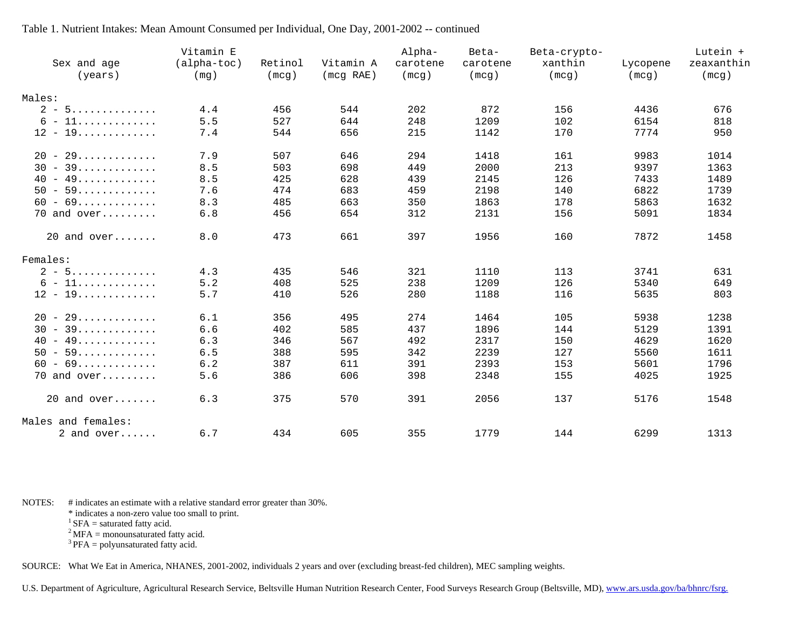|                       | Vitamin E   |         |           | Alpha-   | Beta-    | Beta-crypto- |          | Lutein +   |
|-----------------------|-------------|---------|-----------|----------|----------|--------------|----------|------------|
| Sex and age           | (alpha-toc) | Retinol | Vitamin A | carotene | carotene | xanthin      | Lycopene | zeaxanthin |
| (years)               | (mg)        | (mcg)   | (mcg RAE) | (mcg)    | (mcg)    | (mcg)        | (mcg)    | (mcg)      |
|                       |             |         |           |          |          |              |          |            |
| Males:                |             |         |           |          |          |              |          |            |
| $2 - 5$               | 4.4         | 456     | 544       | 202      | 872      | 156          | 4436     | 676        |
| $6 - 11$              | 5.5         | 527     | 644       | 248      | 1209     | 102          | 6154     | 818        |
| $12 - 19$             | 7.4         | 544     | 656       | 215      | 1142     | 170          | 7774     | 950        |
| $20 - 29$             | 7.9         | 507     | 646       | 294      | 1418     | 161          | 9983     | 1014       |
| $30 - 39$             | 8.5         | 503     | 698       | 449      | 2000     | 213          | 9397     | 1363       |
| $40 - 49$             | 8.5         | 425     | 628       | 439      | 2145     | 126          | 7433     | 1489       |
| $50 - 59$             | 7.6         | 474     | 683       | 459      | 2198     | 140          | 6822     | 1739       |
| $60 - 69$             | 8.3         | 485     | 663       | 350      | 1863     | 178          | 5863     | 1632       |
| $70$ and over         | 6.8         | 456     | 654       | 312      | 2131     | 156          | 5091     | 1834       |
| $20$ and over         | 8.0         | 473     | 661       | 397      | 1956     | 160          | 7872     | 1458       |
| Females:              |             |         |           |          |          |              |          |            |
| $2 - 5$               | 4.3         | 435     | 546       | 321      | 1110     | 113          | 3741     | 631        |
| $6 - 11$              | 5.2         | 408     | 525       | 238      | 1209     | 126          | 5340     | 649        |
| $12 - 19 \dots $      | 5.7         | 410     | 526       | 280      | 1188     | 116          | 5635     | 803        |
| $20 - 29$             | 6.1         | 356     | 495       | 274      | 1464     | 105          | 5938     | 1238       |
| $30 - 39$             | 6.6         | 402     | 585       | 437      | 1896     | 144          | 5129     | 1391       |
| $40 - 49$             | 6.3         | 346     | 567       | 492      | 2317     | 150          | 4629     | 1620       |
| $50 - 59$             | 6.5         | 388     | 595       | 342      | 2239     | 127          | 5560     | 1611       |
| $60 - 69 \dots \dots$ | $6.2$       | 387     | 611       | 391      | 2393     | 153          | 5601     | 1796       |
| $70$ and over         | 5.6         | 386     | 606       | 398      | 2348     | 155          | 4025     | 1925       |
| $20$ and over         | 6.3         | 375     | 570       | 391      | 2056     | 137          | 5176     | 1548       |
| Males and females:    |             |         |           |          |          |              |          |            |
| 2 and over            | 6.7         | 434     | 605       | 355      | 1779     | 144          | 6299     | 1313       |

NOTES: # indicates an estimate with a relative standard error greater than 30%.

\* indicates a non-zero value too small to print.

 ${}^{1}$  SFA = saturated fatty acid.

 $2^2$  MFA = monounsaturated fatty acid.

 $3$  PFA = polyunsaturated fatty acid.

SOURCE: What We Eat in America, NHANES, 2001-2002, individuals 2 years and over (excluding breast-fed children), MEC sampling weights.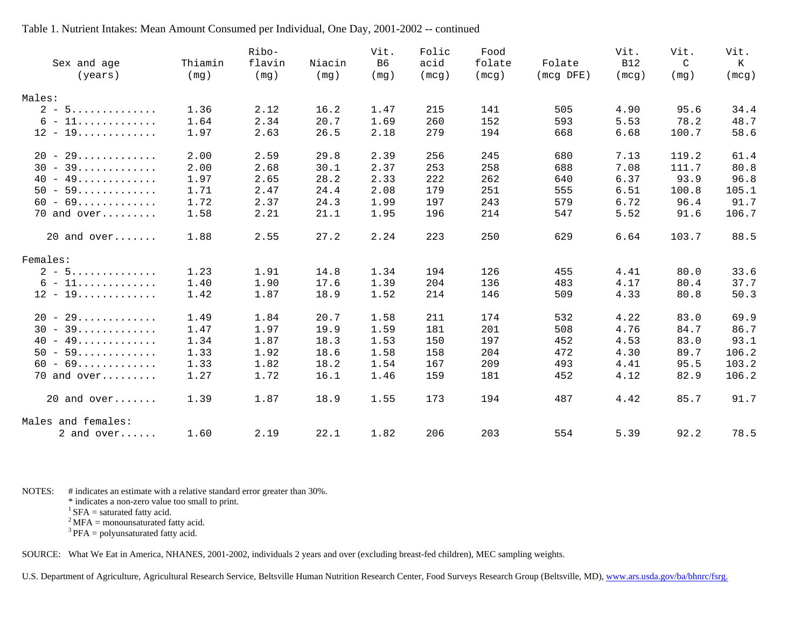| Sex and age        | Thiamin | Ribo-<br>flavin | Niacin | Vit.<br>B6 | Folic<br>acid | Food<br>folate | Folate        | Vit.<br><b>B12</b> | Vit.<br>C | Vit.<br>К |
|--------------------|---------|-----------------|--------|------------|---------------|----------------|---------------|--------------------|-----------|-----------|
| (years)            | (mq)    | (mq)            | (mq)   | (mq)       | (mcq)         | (mcq)          | $(mcg$ $DFE)$ | (mcq)              | (mq)      | (mcq)     |
| Males:             |         |                 |        |            |               |                |               |                    |           |           |
| $2 - 5$            | 1.36    | 2.12            | 16.2   | 1.47       | 215           | 141            | 505           | 4.90               | 95.6      | 34.4      |
| $6 - 11$           | 1.64    | 2.34            | 20.7   | 1.69       | 260           | 152            | 593           | 5.53               | 78.2      | 48.7      |
| $12 - 19 \dots $   | 1.97    | 2.63            | 26.5   | 2.18       | 279           | 194            | 668           | 6.68               | 100.7     | 58.6      |
| $20 - 29$          | 2.00    | 2.59            | 29.8   | 2.39       | 256           | 245            | 680           | 7.13               | 119.2     | 61.4      |
| $30 - 39$          | 2.00    | 2.68            | 30.1   | 2.37       | 253           | 258            | 688           | 7.08               | 111.7     | 80.8      |
| $40 - 49$          | 1.97    | 2.65            | 28.2   | 2.33       | 222           | 262            | 640           | 6.37               | 93.9      | 96.8      |
| $50 - 59$          | 1.71    | 2.47            | 24.4   | 2.08       | 179           | 251            | 555           | 6.51               | 100.8     | 105.1     |
| $60 - 69$          | 1.72    | 2.37            | 24.3   | 1.99       | 197           | 243            | 579           | 6.72               | 96.4      | 91.7      |
| $70$ and over      | 1.58    | 2.21            | 21.1   | 1.95       | 196           | 214            | 547           | 5.52               | 91.6      | 106.7     |
| $20$ and over      | 1.88    | 2.55            | 27.2   | 2.24       | 223           | 250            | 629           | 6.64               | 103.7     | 88.5      |
| Females:           |         |                 |        |            |               |                |               |                    |           |           |
| $2 - 5$            | 1.23    | 1.91            | 14.8   | 1.34       | 194           | 126            | 455           | 4.41               | 80.0      | 33.6      |
| $6 - 11$           | 1.40    | 1.90            | 17.6   | 1.39       | 204           | 136            | 483           | 4.17               | 80.4      | 37.7      |
| $12 - 19$          | 1.42    | 1.87            | 18.9   | 1.52       | 214           | 146            | 509           | 4.33               | 80.8      | 50.3      |
| $20 - 29$          | 1.49    | 1.84            | 20.7   | 1.58       | 211           | 174            | 532           | 4.22               | 83.0      | 69.9      |
| $30 - 39$          | 1.47    | 1.97            | 19.9   | 1.59       | 181           | 201            | 508           | 4.76               | 84.7      | 86.7      |
| $40 - 49$          | 1.34    | 1.87            | 18.3   | 1.53       | 150           | 197            | 452           | 4.53               | 83.0      | 93.1      |
| $50 - 59$          | 1.33    | 1.92            | 18.6   | 1.58       | 158           | 204            | 472           | 4.30               | 89.7      | 106.2     |
| $60 - 69$          | 1.33    | 1.82            | 18.2   | 1.54       | 167           | 209            | 493           | 4.41               | 95.5      | 103.2     |
| 70 and over        | 1.27    | 1.72            | 16.1   | 1.46       | 159           | 181            | 452           | 4.12               | 82.9      | 106.2     |
| $20$ and over      | 1.39    | 1.87            | 18.9   | 1.55       | 173           | 194            | 487           | 4.42               | 85.7      | 91.7      |
| Males and females: |         |                 |        |            |               |                |               |                    |           |           |
| 2 and $over$       | 1.60    | 2.19            | 22.1   | 1.82       | 206           | 203            | 554           | 5.39               | 92.2      | 78.5      |

NOTES: # indicates an estimate with a relative standard error greater than 30%.

\* indicates a non-zero value too small to print.

 ${}^{1}$  SFA = saturated fatty acid.

 $2^2$  MFA = monounsaturated fatty acid.

 $3$  PFA = polyunsaturated fatty acid.

SOURCE: What We Eat in America, NHANES, 2001-2002, individuals 2 years and over (excluding breast-fed children), MEC sampling weights.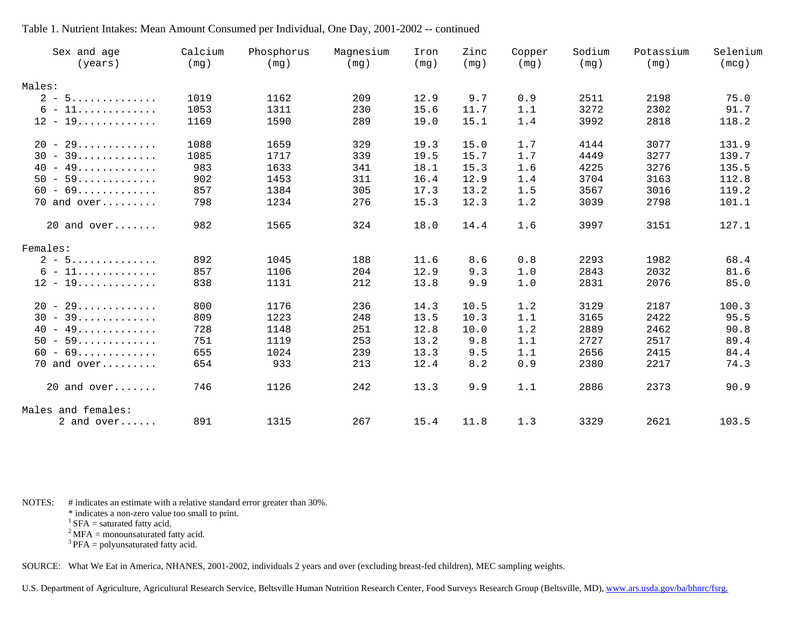| Sex and age<br>(years) | Calcium<br>(mg) | Phosphorus<br>(mg) | Magnesium<br>(mg) | Iron<br>(mg) | Zinc<br>(mg) | Copper<br>(mg) | Sodium<br>(mg) | Potassium<br>(mg) | Selenium<br>(mcg) |
|------------------------|-----------------|--------------------|-------------------|--------------|--------------|----------------|----------------|-------------------|-------------------|
| Males:                 |                 |                    |                   |              |              |                |                |                   |                   |
| $2 - 5$                | 1019            | 1162               | 209               | 12.9         | 9.7          | 0.9            | 2511           | 2198              | 75.0              |
| $6 - 11$               | 1053            | 1311               | 230               | 15.6         | 11.7         | 1.1            | 3272           | 2302              | 91.7              |
| $12 - 19 \dots $       | 1169            | 1590               | 289               | 19.0         | 15.1         | 1.4            | 3992           | 2818              | 118.2             |
| $20 - 29$              | 1088            | 1659               | 329               | 19.3         | 15.0         | 1.7            | 4144           | 3077              | 131.9             |
| $30 - 39$              | 1085            | 1717               | 339               | 19.5         | 15.7         | 1.7            | 4449           | 3277              | 139.7             |
| $40 - 49$              | 983             | 1633               | 341               | 18.1         | 15.3         | 1.6            | 4225           | 3276              | 135.5             |
| $50 - 59$              | 902             | 1453               | 311               | 16.4         | 12.9         | 1.4            | 3704           | 3163              | 112.8             |
| $60 - 69$              | 857             | 1384               | 305               | 17.3         | 13.2         | 1.5            | 3567           | 3016              | 119.2             |
| 70 and over            | 798             | 1234               | 276               | 15.3         | 12.3         | 1.2            | 3039           | 2798              | 101.1             |
| $20$ and over          | 982             | 1565               | 324               | 18.0         | 14.4         | 1.6            | 3997           | 3151              | 127.1             |
| Females:               |                 |                    |                   |              |              |                |                |                   |                   |
| $2 - 5$                | 892             | 1045               | 188               | 11.6         | 8.6          | 0.8            | 2293           | 1982              | 68.4              |
| $6 - 11$               | 857             | 1106               | 204               | 12.9         | 9.3          | 1.0            | 2843           | 2032              | 81.6              |
| $12 - 19 \dots $       | 838             | 1131               | 212               | 13.8         | 9.9          | 1.0            | 2831           | 2076              | 85.0              |
| $20 - 29$              | 800             | 1176               | 236               | 14.3         | 10.5         | 1.2            | 3129           | 2187              | 100.3             |
| $30 - 39$              | 809             | 1223               | 248               | 13.5         | 10.3         | 1.1            | 3165           | 2422              | 95.5              |
| $40 - 49$              | 728             | 1148               | 251               | 12.8         | 10.0         | 1.2            | 2889           | 2462              | 90.8              |
| $50 - 59$              | 751             | 1119               | 253               | 13.2         | 9.8          | 1.1            | 2727           | 2517              | 89.4              |
| $60 - 69$              | 655             | 1024               | 239               | 13.3         | 9.5          | 1.1            | 2656           | 2415              | 84.4              |
| 70 and over            | 654             | 933                | 213               | 12.4         | 8.2          | 0.9            | 2380           | 2217              | 74.3              |
| $20$ and over          | 746             | 1126               | 242               | 13.3         | 9.9          | 1.1            | 2886           | 2373              | 90.9              |
| Males and females:     |                 |                    |                   |              |              |                |                |                   |                   |
| 2 and $over$           | 891             | 1315               | 267               | 15.4         | 11.8         | 1.3            | 3329           | 2621              | 103.5             |

NOTES: # indicates an estimate with a relative standard error greater than 30%.

\* indicates a non-zero value too small to print.

 ${}^{1}$  SFA = saturated fatty acid.

 $2^2$  MFA = monounsaturated fatty acid.

 $3$  PFA = polyunsaturated fatty acid.

SOURCE: What We Eat in America, NHANES, 2001-2002, individuals 2 years and over (excluding breast-fed children), MEC sampling weights.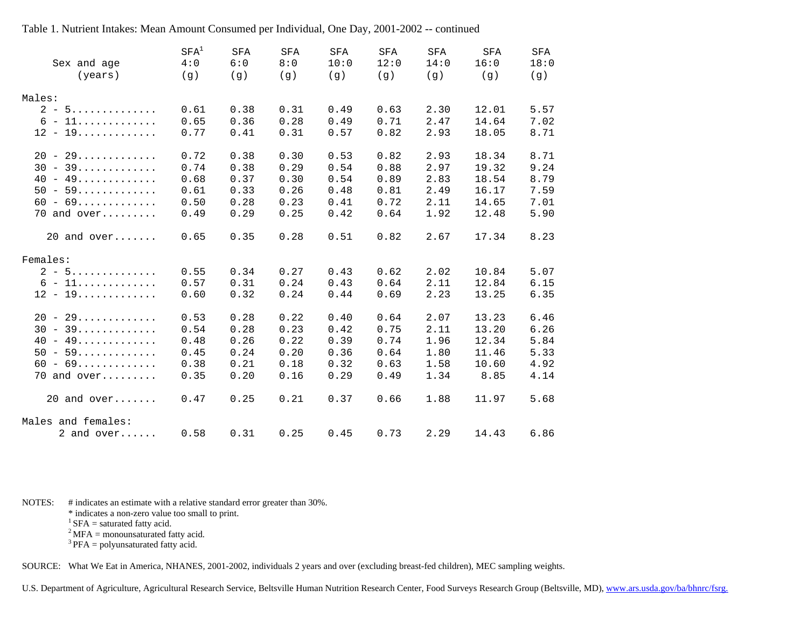| Sex and age<br>(years) | SFA <sup>1</sup><br>4:0 | <b>SFA</b><br>6:0 | SFA<br>8:0 | SFA<br>10:0 | SFA<br>12:0 | <b>SFA</b><br>14:0 | <b>SFA</b><br>16:0 | <b>SFA</b><br>18:0 |
|------------------------|-------------------------|-------------------|------------|-------------|-------------|--------------------|--------------------|--------------------|
|                        | (g)                     | (g)               | (g)        | (g)         | (g)         | (g)                | (g)                | (g)                |
| Males:                 |                         |                   |            |             |             |                    |                    |                    |
| $2 - 5$                | 0.61                    | 0.38              | 0.31       | 0.49        | 0.63        | 2.30               | 12.01              | 5.57               |
| $6 - 11$               | 0.65                    | 0.36              | 0.28       | 0.49        | 0.71        | 2.47               | 14.64              | 7.02               |
| $12 - 19 \dots $       | 0.77                    | 0.41              | 0.31       | 0.57        | 0.82        | 2.93               | 18.05              | 8.71               |
| $20 - 29$              | 0.72                    | 0.38              | 0.30       | 0.53        | 0.82        | 2.93               | 18.34              | 8.71               |
| $30 - 39$              | 0.74                    | 0.38              | 0.29       | 0.54        | 0.88        | 2.97               | 19.32              | 9.24               |
| $40 - 49$              | 0.68                    | 0.37              | 0.30       | 0.54        | 0.89        | 2.83               | 18.54              | 8.79               |
| $50 - 59$              | 0.61                    | 0.33              | 0.26       | 0.48        | 0.81        | 2.49               | 16.17              | 7.59               |
| $60 - 69$              | 0.50                    | 0.28              | 0.23       | 0.41        | 0.72        | 2.11               | 14.65              | 7.01               |
| $70$ and over          | 0.49                    | 0.29              | 0.25       | 0.42        | 0.64        | 1.92               | 12.48              | 5.90               |
| $20$ and over          | 0.65                    | 0.35              | 0.28       | 0.51        | 0.82        | 2.67               | 17.34              | 8.23               |
| Females:               |                         |                   |            |             |             |                    |                    |                    |
| $2 - 5$                | 0.55                    | 0.34              | 0.27       | 0.43        | 0.62        | 2.02               | 10.84              | 5.07               |
| $6 - 11$               | 0.57                    | 0.31              | 0.24       | 0.43        | 0.64        | 2.11               | 12.84              | 6.15               |
| $12 - 19 \dots $       | 0.60                    | 0.32              | 0.24       | 0.44        | 0.69        | 2.23               | 13.25              | 6.35               |
| $20 - 29$              | 0.53                    | 0.28              | 0.22       | 0.40        | 0.64        | 2.07               | 13.23              | 6.46               |
| $30 - 39$              | 0.54                    | 0.28              | 0.23       | 0.42        | 0.75        | 2.11               | 13.20              | 6.26               |
| $40 - 49$              | 0.48                    | 0.26              | 0.22       | 0.39        | 0.74        | 1.96               | 12.34              | 5.84               |
| $50 - 59$              | 0.45                    | 0.24              | 0.20       | 0.36        | 0.64        | 1.80               | 11.46              | 5.33               |
| $60 - 69$              | 0.38                    | 0.21              | 0.18       | 0.32        | 0.63        | 1.58               | 10.60              | 4.92               |
| $70$ and over          | 0.35                    | 0.20              | 0.16       | 0.29        | 0.49        | 1.34               | 8.85               | 4.14               |
| $20$ and over          | 0.47                    | 0.25              | 0.21       | 0.37        | 0.66        | 1.88               | 11.97              | 5.68               |
| Males and females:     |                         |                   |            |             |             |                    |                    |                    |
| 2 and over             | 0.58                    | 0.31              | 0.25       | 0.45        | 0.73        | 2.29               | 14.43              | 6.86               |

NOTES: # indicates an estimate with a relative standard error greater than 30%.

\* indicates a non-zero value too small to print.

 ${}^{1}$  SFA = saturated fatty acid.

 $2^2$  MFA = monounsaturated fatty acid.

 $3$  PFA = polyunsaturated fatty acid.

SOURCE: What We Eat in America, NHANES, 2001-2002, individuals 2 years and over (excluding breast-fed children), MEC sampling weights.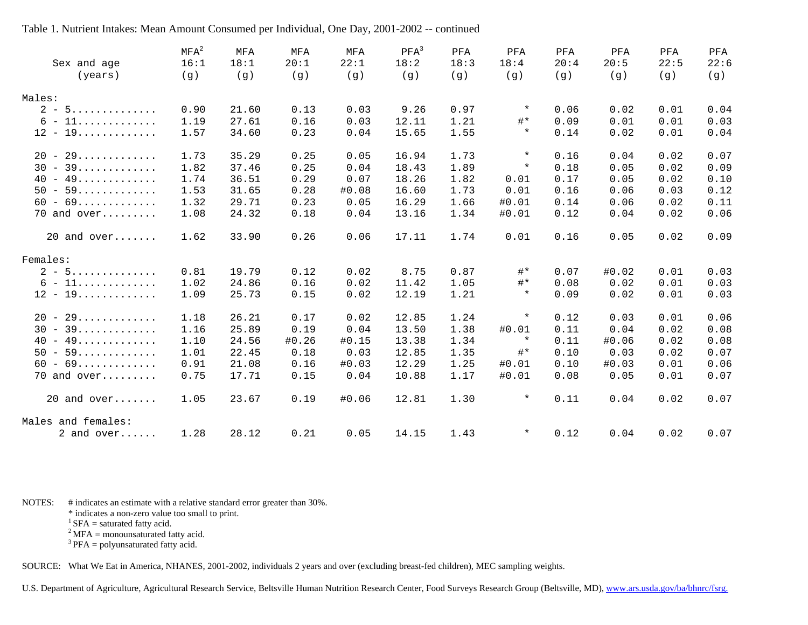| Sex and age           | $MFA^2$<br>16:1 | MFA<br>18:1 | MFA<br>20:1 | MFA<br>22:1 | $PFA^3$<br>18:2 | PFA<br>18:3 | PFA<br>18:4 | PFA<br>20:4 | PFA<br>20:5 | PFA<br>22:5 | PFA<br>22:6 |
|-----------------------|-----------------|-------------|-------------|-------------|-----------------|-------------|-------------|-------------|-------------|-------------|-------------|
| (years)               | (g)             | (g)         | (g)         | (g)         | (g)             | (g)         | (g)         | (q)         | (g)         | (q)         | (g)         |
| Males:                |                 |             |             |             |                 |             |             |             |             |             |             |
| $2 - 5$               | 0.90            | 21.60       | 0.13        | 0.03        | 9.26            | 0.97        | $\star$     | 0.06        | 0.02        | 0.01        | 0.04        |
| $6 - 11$              | 1.19            | 27.61       | 0.16        | 0.03        | 12.11           | 1.21        | $#*$        | 0.09        | 0.01        | 0.01        | 0.03        |
| $12 - 19$             | 1.57            | 34.60       | 0.23        | 0.04        | 15.65           | 1.55        | $\star$     | 0.14        | 0.02        | 0.01        | 0.04        |
| $20 - 29$             | 1.73            | 35.29       | 0.25        | 0.05        | 16.94           | 1.73        | $\star$     | 0.16        | 0.04        | 0.02        | 0.07        |
| $30 - 39$             | 1.82            | 37.46       | 0.25        | 0.04        | 18.43           | 1.89        | $\star$     | 0.18        | 0.05        | 0.02        | 0.09        |
| $40 - 49 \dots \dots$ | 1.74            | 36.51       | 0.29        | 0.07        | 18.26           | 1.82        | 0.01        | 0.17        | 0.05        | 0.02        | 0.10        |
| $50 - 59$             | 1.53            | 31.65       | 0.28        | #0.08       | 16.60           | 1.73        | 0.01        | 0.16        | 0.06        | 0.03        | 0.12        |
| $60 - 69$             | 1.32            | 29.71       | 0.23        | 0.05        | 16.29           | 1.66        | #0.01       | 0.14        | 0.06        | 0.02        | 0.11        |
| $70$ and over         | 1.08            | 24.32       | 0.18        | 0.04        | 13.16           | 1.34        | #0.01       | 0.12        | 0.04        | 0.02        | 0.06        |
| $20$ and over         | 1.62            | 33.90       | 0.26        | 0.06        | 17.11           | 1.74        | 0.01        | 0.16        | 0.05        | 0.02        | 0.09        |
| Females:              |                 |             |             |             |                 |             |             |             |             |             |             |
| $2 - 5$               | 0.81            | 19.79       | 0.12        | 0.02        | 8.75            | 0.87        | $#*$        | 0.07        | #0.02       | 0.01        | 0.03        |
| $6 - 11$              | 1.02            | 24.86       | 0.16        | 0.02        | 11.42           | 1.05        | $#*$        | 0.08        | 0.02        | 0.01        | 0.03        |
| $12 - 19 \dots $      | 1.09            | 25.73       | 0.15        | 0.02        | 12.19           | 1.21        | $\star$     | 0.09        | 0.02        | 0.01        | 0.03        |
| $20 - 29$             | 1.18            | 26.21       | 0.17        | 0.02        | 12.85           | 1.24        | $\star$     | 0.12        | 0.03        | 0.01        | 0.06        |
| $30 - 39 \dots \dots$ | 1.16            | 25.89       | 0.19        | 0.04        | 13.50           | 1.38        | #0.01       | 0.11        | 0.04        | 0.02        | 0.08        |
| $40 - 49$             | 1.10            | 24.56       | #0.26       | #0.15       | 13.38           | 1.34        | $\star$     | 0.11        | #0.06       | 0.02        | 0.08        |
| $50 - 59$             | 1.01            | 22.45       | 0.18        | 0.03        | 12.85           | 1.35        | $#*$        | 0.10        | 0.03        | 0.02        | 0.07        |
| $60 - 69 \dots \dots$ | 0.91            | 21.08       | 0.16        | #0.03       | 12.29           | 1.25        | #0.01       | 0.10        | #0.03       | 0.01        | 0.06        |
| $70$ and over         | 0.75            | 17.71       | 0.15        | 0.04        | 10.88           | 1.17        | #0.01       | 0.08        | 0.05        | 0.01        | 0.07        |
| $20$ and over         | 1.05            | 23.67       | 0.19        | #0.06       | 12.81           | 1.30        | $\star$     | 0.11        | 0.04        | 0.02        | 0.07        |
| Males and females:    |                 |             |             |             |                 |             |             |             |             |             |             |
| 2 and $over$          | 1.28            | 28.12       | 0.21        | 0.05        | 14.15           | 1.43        | $\star$     | 0.12        | 0.04        | 0.02        | 0.07        |

NOTES: # indicates an estimate with a relative standard error greater than 30%.

\* indicates a non-zero value too small to print.

 ${}^{1}$  SFA = saturated fatty acid.

 $2^2$  MFA = monounsaturated fatty acid.

 $3$  PFA = polyunsaturated fatty acid.

SOURCE: What We Eat in America, NHANES, 2001-2002, individuals 2 years and over (excluding breast-fed children), MEC sampling weights.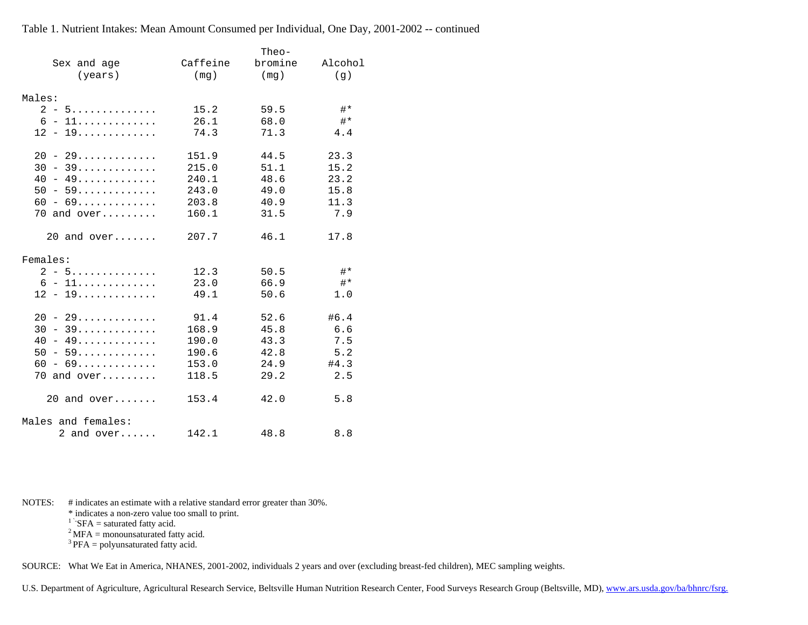|                         |          | Theo-   |              |
|-------------------------|----------|---------|--------------|
| Sex and age             | Caffeine | bromine | Alcohol      |
| (years)                 | (mg)     | (mg)    | (q)          |
|                         |          |         |              |
| Males:                  |          |         |              |
| $2 - 5$                 | 15.2     | 59.5    | $#*$         |
| $6 - 11$                | 26.1     | 68.0    | $#*$         |
| $12 - 19 \dots $        | 74.3     | 71.3    | 4.4          |
| $20 - 29$               | 151.9    | 44.5    | 23.3         |
| $30 - 39 \ldots \ldots$ | 215.0    | 51.1    | 15.2         |
| $40 - 49$               | 240.1    | 48.6    | 23.2         |
| $50 - 59$               | 243.0    | 49.0    | 15.8         |
| $60 - 69$               | 203.8    | 40.9    | 11.3         |
| $70$ and over           | 160.1    | 31.5    | 7.9          |
| $20$ and over           | 207.7    | 46.1    | 17.8         |
| Females:                |          |         |              |
| $2 - 5$                 | 12.3     | 50.5    | <b>⊥</b> # * |
| $6 - 11$                | 23.0     | 66.9    | $#*$         |
| $12 - 19 \dots $        | 49.1     | 50.6    | 1.0          |
| $20 - 29$               | 91.4     | 52.6    | #6.4         |
| $30 - 39 \dots $        | 168.9    | 45.8    | 6.6          |
| $40 - 49$               | 190.0    | 43.3    | 7.5          |
| $50 - 59 \dots $        | 190.6    | 42.8    | 5.2          |
| $60 - 69$               | 153.0    | 24.9    | #4.3         |
| 70 and over             | 118.5    | 29.2    | 2.5          |
| $20$ and over           | 153.4    | 42.0    | 5.8          |
| Males and females:      |          |         |              |
| 2 and $over$            | 142.1    | 48.8    | 8.8          |

NOTES: # indicates an estimate with a relative standard error greater than 30%.

\* indicates a non-zero value too small to print.

<sup>1</sup>  $\overline{SFA}$  = saturated fatty acid.

 $2^2$  MFA = monounsaturated fatty acid.

 $3$  PFA = polyunsaturated fatty acid.

SOURCE: What We Eat in America, NHANES, 2001-2002, individuals 2 years and over (excluding breast-fed children), MEC sampling weights.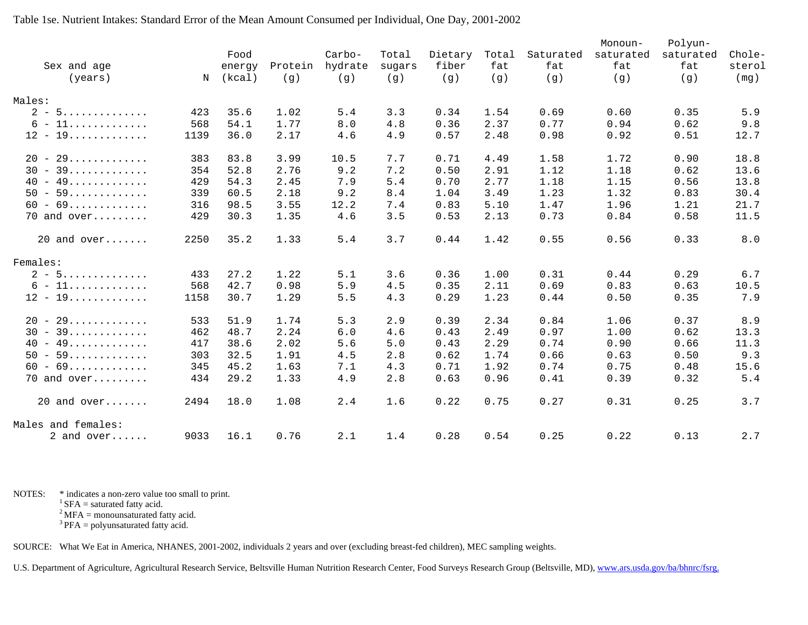|                    |      |        |         |         |        |         |       |           | Monoun-   | Polyun-   |        |
|--------------------|------|--------|---------|---------|--------|---------|-------|-----------|-----------|-----------|--------|
|                    |      | Food   |         | Carbo-  | Total  | Dietary | Total | Saturated | saturated | saturated | Chole- |
| Sex and age        |      | energy | Protein | hydrate | sugars | fiber   | fat   | fat       | fat       | fat       | sterol |
| (years)            | N    | (kcal) | (g)     | (g)     | (g)    | (g)     | (g)   | (g)       | (g)       | (q)       | (mq)   |
| Males:             |      |        |         |         |        |         |       |           |           |           |        |
| $2 - 5$            | 423  | 35.6   | 1.02    | 5.4     | 3.3    | 0.34    | 1.54  | 0.69      | 0.60      | 0.35      | 5.9    |
| $6 - 11$           | 568  | 54.1   | 1.77    | 8.0     | 4.8    | 0.36    | 2.37  | 0.77      | 0.94      | 0.62      | 9.8    |
| $12 - 19 \dots $   | 1139 | 36.0   | 2.17    | 4.6     | 4.9    | 0.57    | 2.48  | 0.98      | 0.92      | 0.51      | 12.7   |
| $20 - 29$          | 383  | 83.8   | 3.99    | 10.5    | 7.7    | 0.71    | 4.49  | 1.58      | 1.72      | 0.90      | 18.8   |
| $30 - 39$          | 354  | 52.8   | 2.76    | 9.2     | 7.2    | 0.50    | 2.91  | 1.12      | 1.18      | 0.62      | 13.6   |
| $40 - 49$          | 429  | 54.3   | 2.45    | 7.9     | 5.4    | 0.70    | 2.77  | 1.18      | 1.15      | 0.56      | 13.8   |
| $50 - 59$          | 339  | 60.5   | 2.18    | 9.2     | 8.4    | 1.04    | 3.49  | 1.23      | 1.32      | 0.83      | 30.4   |
| $60 - 69$          | 316  | 98.5   | 3.55    | 12.2    | 7.4    | 0.83    | 5.10  | 1.47      | 1.96      | 1.21      | 21.7   |
| 70 and over        | 429  | 30.3   | 1.35    | 4.6     | 3.5    | 0.53    | 2.13  | 0.73      | 0.84      | 0.58      | 11.5   |
| $20$ and over      | 2250 | 35.2   | 1.33    | 5.4     | 3.7    | 0.44    | 1.42  | 0.55      | 0.56      | 0.33      | 8.0    |
| Females:           |      |        |         |         |        |         |       |           |           |           |        |
| $2 - 5$            | 433  | 27.2   | 1.22    | 5.1     | 3.6    | 0.36    | 1.00  | 0.31      | 0.44      | 0.29      | 6.7    |
| $6 - 11$           | 568  | 42.7   | 0.98    | 5.9     | 4.5    | 0.35    | 2.11  | 0.69      | 0.83      | 0.63      | 10.5   |
| $12 - 19 \dots $   | 1158 | 30.7   | 1.29    | 5.5     | 4.3    | 0.29    | 1.23  | 0.44      | 0.50      | 0.35      | 7.9    |
| $20 - 29$          | 533  | 51.9   | 1.74    | 5.3     | 2.9    | 0.39    | 2.34  | 0.84      | 1.06      | 0.37      | 8.9    |
| $30 - 39$          | 462  | 48.7   | 2.24    | 6.0     | 4.6    | 0.43    | 2.49  | 0.97      | 1.00      | 0.62      | 13.3   |
| $40 - 49$          | 417  | 38.6   | 2.02    | 5.6     | 5.0    | 0.43    | 2.29  | 0.74      | 0.90      | 0.66      | 11.3   |
| $50 - 59$          | 303  | 32.5   | 1.91    | 4.5     | 2.8    | 0.62    | 1.74  | 0.66      | 0.63      | 0.50      | 9.3    |
| $60 - 69$          | 345  | 45.2   | 1.63    | 7.1     | 4.3    | 0.71    | 1.92  | 0.74      | 0.75      | 0.48      | 15.6   |
| 70 and over        | 434  | 29.2   | 1.33    | 4.9     | 2.8    | 0.63    | 0.96  | 0.41      | 0.39      | 0.32      | 5.4    |
| $20$ and over      | 2494 | 18.0   | 1.08    | 2.4     | 1.6    | 0.22    | 0.75  | 0.27      | 0.31      | 0.25      | 3.7    |
| Males and females: |      |        |         |         |        |         |       |           |           |           |        |
| 2 and $over$       | 9033 | 16.1   | 0.76    | 2.1     | 1.4    | 0.28    | 0.54  | 0.25      | 0.22      | 0.13      | 2.7    |

NOTES: \* indicates a non-zero value too small to print.

 $1$  SFA = saturated fatty acid.

 $2^2$  MFA = monounsaturated fatty acid.

 $3$  PFA = polyunsaturated fatty acid.

SOURCE: What We Eat in America, NHANES, 2001-2002, individuals 2 years and over (excluding breast-fed children), MEC sampling weights.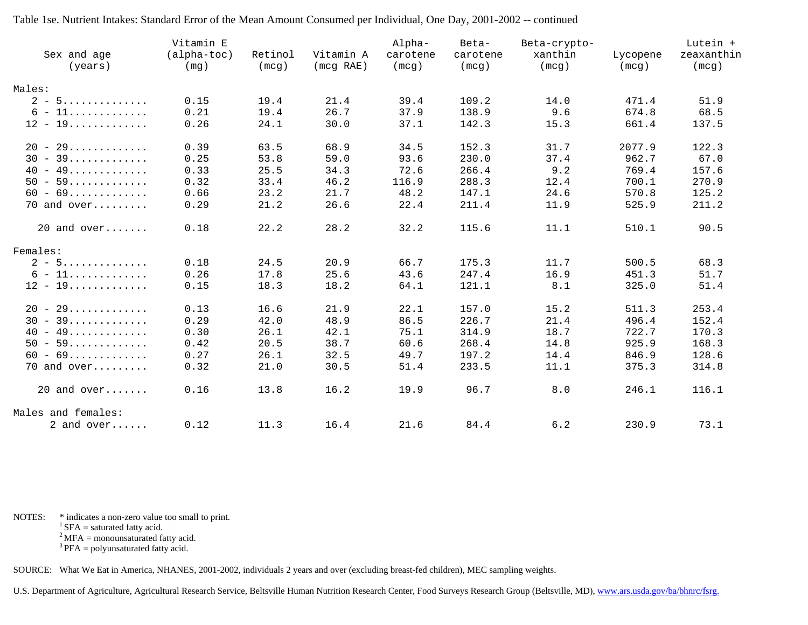| Sex and age<br>(years) | Vitamin E<br>$(alpha-toc)$<br>(mg) | Retinol<br>(mcg) | Vitamin A<br>(mcg RAE) | Alpha-<br>carotene<br>(mcg) | Beta-<br>carotene<br>(mcg) | Beta-crypto-<br>xanthin<br>(mcg) | Lycopene<br>(mcg) | Lutein +<br>zeaxanthin<br>(mcg) |
|------------------------|------------------------------------|------------------|------------------------|-----------------------------|----------------------------|----------------------------------|-------------------|---------------------------------|
| Males:                 |                                    |                  |                        |                             |                            |                                  |                   |                                 |
| $2 - 5$                | 0.15                               | 19.4             | 21.4                   | 39.4                        | 109.2                      | 14.0                             | 471.4             | 51.9                            |
| $6 - 11$               | 0.21                               | 19.4             | 26.7                   | 37.9                        | 138.9                      | 9.6                              | 674.8             | 68.5                            |
| $12 - 19 \dots $       | 0.26                               | 24.1             | 30.0                   | 37.1                        | 142.3                      | 15.3                             | 661.4             | 137.5                           |
| $20 - 29$              | 0.39                               | 63.5             | 68.9                   | 34.5                        | 152.3                      | 31.7                             | 2077.9            | 122.3                           |
| $30 - 39$              | 0.25                               | 53.8             | 59.0                   | 93.6                        | 230.0                      | 37.4                             | 962.7             | 67.0                            |
| $40 - 49$              | 0.33                               | 25.5             | 34.3                   | 72.6                        | 266.4                      | 9.2                              | 769.4             | 157.6                           |
| $50 - 59$              | 0.32                               | 33.4             | 46.2                   | 116.9                       | 288.3                      | 12.4                             | 700.1             | 270.9                           |
| $60 - 69$              | 0.66                               | 23.2             | 21.7                   | 48.2                        | 147.1                      | 24.6                             | 570.8             | 125.2                           |
| 70 and over            | 0.29                               | 21.2             | 26.6                   | 22.4                        | 211.4                      | 11.9                             | 525.9             | 211.2                           |
| $20$ and over          | 0.18                               | 22.2             | 28.2                   | 32.2                        | 115.6                      | 11.1                             | 510.1             | 90.5                            |
| Females:               |                                    |                  |                        |                             |                            |                                  |                   |                                 |
| $2 - 5$                | 0.18                               | 24.5             | 20.9                   | 66.7                        | 175.3                      | 11.7                             | 500.5             | 68.3                            |
| $6 - 11$               | 0.26                               | 17.8             | 25.6                   | 43.6                        | 247.4                      | 16.9                             | 451.3             | 51.7                            |
| $12 - 19 \dots $       | 0.15                               | 18.3             | 18.2                   | 64.1                        | 121.1                      | 8.1                              | 325.0             | 51.4                            |
| $20 - 29$              | 0.13                               | 16.6             | 21.9                   | 22.1                        | 157.0                      | 15.2                             | 511.3             | 253.4                           |
| $30 - 39$              | 0.29                               | 42.0             | 48.9                   | 86.5                        | 226.7                      | 21.4                             | 496.4             | 152.4                           |
| $40 - 49$              | 0.30                               | 26.1             | 42.1                   | 75.1                        | 314.9                      | 18.7                             | 722.7             | 170.3                           |
| $50 - 59$              | 0.42                               | 20.5             | 38.7                   | 60.6                        | 268.4                      | 14.8                             | 925.9             | 168.3                           |
| $60 - 69$              | 0.27                               | 26.1             | 32.5                   | 49.7                        | 197.2                      | 14.4                             | 846.9             | 128.6                           |
| $70$ and over          | 0.32                               | 21.0             | 30.5                   | 51.4                        | 233.5                      | 11.1                             | 375.3             | 314.8                           |
| $20$ and over          | 0.16                               | 13.8             | 16.2                   | 19.9                        | 96.7                       | 8.0                              | 246.1             | 116.1                           |
| Males and females:     |                                    |                  |                        |                             |                            |                                  |                   |                                 |
| 2 and over             | 0.12                               | 11.3             | 16.4                   | 21.6                        | 84.4                       | 6.2                              | 230.9             | 73.1                            |

NOTES: \* indicates a non-zero value too small to print.

 ${}^{1}$  SFA = saturated fatty acid.

 $2^2$  MFA = monounsaturated fatty acid.

 $3$  PFA = polyunsaturated fatty acid.

SOURCE: What We Eat in America, NHANES, 2001-2002, individuals 2 years and over (excluding breast-fed children), MEC sampling weights.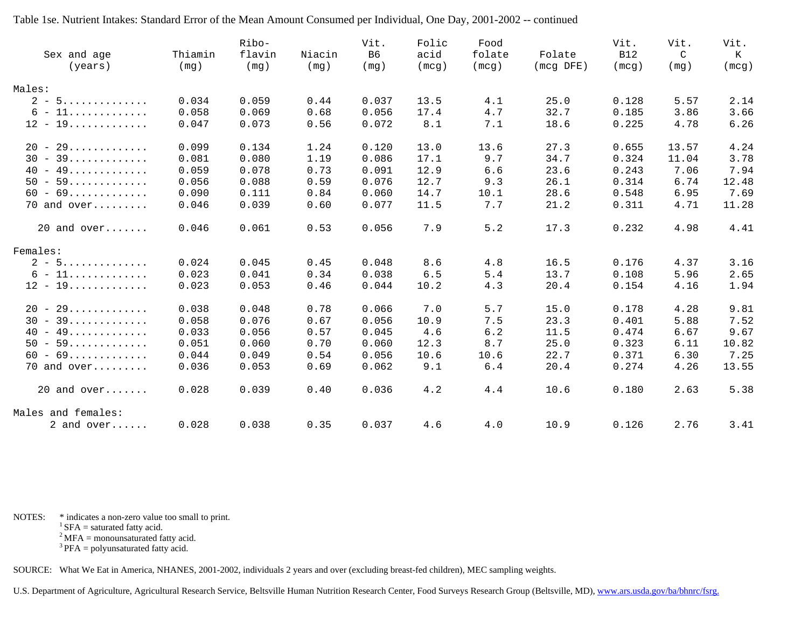| Sex and age<br>(years) | Thiamin<br>(mq) | Ribo-<br>flavin<br>(mg) | Niacin<br>(mq) | Vit.<br>B <sub>6</sub><br>(mq) | Folic<br>acid<br>(mcg) | Food<br>folate<br>(mcg) | Folate<br>$(mcq$ DFE) | Vit.<br><b>B12</b><br>(mcq) | Vit.<br>$\mathcal{C}$<br>(mq) | Vit.<br>Κ<br>(mcg) |
|------------------------|-----------------|-------------------------|----------------|--------------------------------|------------------------|-------------------------|-----------------------|-----------------------------|-------------------------------|--------------------|
|                        |                 |                         |                |                                |                        |                         |                       |                             |                               |                    |
| Males:                 |                 |                         |                |                                |                        |                         |                       |                             |                               |                    |
| $2 - 5$                | 0.034           | 0.059                   | 0.44           | 0.037                          | 13.5                   | 4.1                     | 25.0                  | 0.128                       | 5.57                          | 2.14               |
| $6 - 11$               | 0.058           | 0.069                   | 0.68           | 0.056                          | 17.4                   | 4.7                     | 32.7                  | 0.185                       | 3.86                          | 3.66               |
| $12 - 19 \dots $       | 0.047           | 0.073                   | 0.56           | 0.072                          | 8.1                    | 7.1                     | 18.6                  | 0.225                       | 4.78                          | 6.26               |
| $20 - 29$              | 0.099           | 0.134                   | 1.24           | 0.120                          | 13.0                   | 13.6                    | 27.3                  | 0.655                       | 13.57                         | 4.24               |
| $30 - 39$              | 0.081           | 0.080                   | 1.19           | 0.086                          | 17.1                   | 9.7                     | 34.7                  | 0.324                       | 11.04                         | 3.78               |
| $40 - 49$              | 0.059           | 0.078                   | 0.73           | 0.091                          | 12.9                   | 6.6                     | 23.6                  | 0.243                       | 7.06                          | 7.94               |
| $50 - 59$              | 0.056           | 0.088                   | 0.59           | 0.076                          | 12.7                   | 9.3                     | 26.1                  | 0.314                       | 6.74                          | 12.48              |
| $60 - 69$              | 0.090           | 0.111                   | 0.84           | 0.060                          | 14.7                   | 10.1                    | 28.6                  | 0.548                       | 6.95                          | 7.69               |
| 70 and over            | 0.046           | 0.039                   | 0.60           | 0.077                          | 11.5                   | 7.7                     | 21.2                  | 0.311                       | 4.71                          | 11.28              |
| $20$ and over          | 0.046           | 0.061                   | 0.53           | 0.056                          | 7.9                    | 5.2                     | 17.3                  | 0.232                       | 4.98                          | 4.41               |
| Females:               |                 |                         |                |                                |                        |                         |                       |                             |                               |                    |
| $2 - 5$                | 0.024           | 0.045                   | 0.45           | 0.048                          | 8.6                    | 4.8                     | 16.5                  | 0.176                       | 4.37                          | 3.16               |
| $6 - 11$               | 0.023           | 0.041                   | 0.34           | 0.038                          | 6.5                    | 5.4                     | 13.7                  | 0.108                       | 5.96                          | 2.65               |
| $12 - 19$              | 0.023           | 0.053                   | 0.46           | 0.044                          | 10.2                   | 4.3                     | 20.4                  | 0.154                       | 4.16                          | 1.94               |
| $20 - 29$              | 0.038           | 0.048                   | 0.78           | 0.066                          | 7.0                    | 5.7                     | 15.0                  | 0.178                       | 4.28                          | 9.81               |
| $30 - 39$              | 0.058           | 0.076                   | 0.67           | 0.056                          | 10.9                   | 7.5                     | 23.3                  | 0.401                       | 5.88                          | 7.52               |
| $40 - 49$              | 0.033           | 0.056                   | 0.57           | 0.045                          | 4.6                    | 6.2                     | 11.5                  | 0.474                       | 6.67                          | 9.67               |
| $50 - 59$              | 0.051           | 0.060                   | 0.70           | 0.060                          | 12.3                   | 8.7                     | 25.0                  | 0.323                       | 6.11                          | 10.82              |
| $60 - 69$              | 0.044           | 0.049                   | 0.54           | 0.056                          | 10.6                   | 10.6                    | 22.7                  | 0.371                       | 6.30                          | 7.25               |
| $70$ and over          | 0.036           | 0.053                   | 0.69           | 0.062                          | 9.1                    | 6.4                     | 20.4                  | 0.274                       | 4.26                          | 13.55              |
| $20$ and over          | 0.028           | 0.039                   | 0.40           | 0.036                          | 4.2                    | 4.4                     | 10.6                  | 0.180                       | 2.63                          | 5.38               |
| Males and females:     |                 |                         |                |                                |                        |                         |                       |                             |                               |                    |
| 2 and $over$           | 0.028           | 0.038                   | 0.35           | 0.037                          | 4.6                    | 4.0                     | 10.9                  | 0.126                       | 2.76                          | 3.41               |

NOTES: \* indicates a non-zero value too small to print.

 ${}^{1}$  SFA = saturated fatty acid.

 $2^2$  MFA = monounsaturated fatty acid.

 $3$  PFA = polyunsaturated fatty acid.

SOURCE: What We Eat in America, NHANES, 2001-2002, individuals 2 years and over (excluding breast-fed children), MEC sampling weights.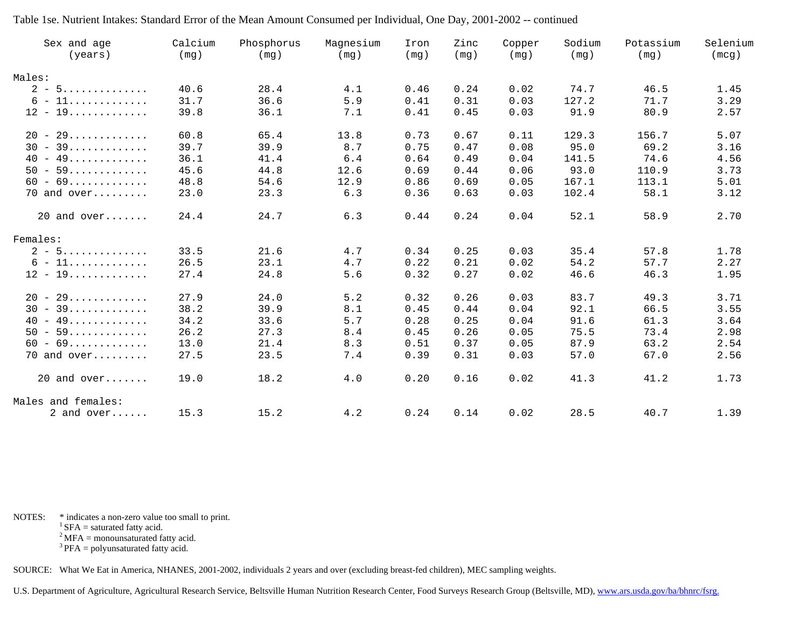| Sex and age<br>(years) | Calcium<br>(mg) | Phosphorus<br>(mg) | Magnesium<br>(mg) | Iron<br>(mq) | Zinc<br>(mg) | Copper<br>(mg) | Sodium<br>(mg) | Potassium<br>(mg) | Selenium<br>(mcg) |
|------------------------|-----------------|--------------------|-------------------|--------------|--------------|----------------|----------------|-------------------|-------------------|
| Males:                 |                 |                    |                   |              |              |                |                |                   |                   |
| $2 - 5$                | 40.6            | 28.4               | 4.1               | 0.46         | 0.24         | 0.02           | 74.7           | 46.5              | 1.45              |
| $6 - 11$               | 31.7            | 36.6               | 5.9               | 0.41         | 0.31         | 0.03           | 127.2          | 71.7              | 3.29              |
| $12 - 19$              | 39.8            | 36.1               | 7.1               | 0.41         | 0.45         | 0.03           | 91.9           | 80.9              | 2.57              |
| $20 - 29$              | 60.8            | 65.4               | 13.8              | 0.73         | 0.67         | 0.11           | 129.3          | 156.7             | 5.07              |
| $30 - 39$              | 39.7            | 39.9               | 8.7               | 0.75         | 0.47         | 0.08           | 95.0           | 69.2              | 3.16              |
| $40 - 49$              | 36.1            | 41.4               | 6.4               | 0.64         | 0.49         | 0.04           | 141.5          | 74.6              | 4.56              |
| $50 - 59$              | 45.6            | 44.8               | 12.6              | 0.69         | 0.44         | 0.06           | 93.0           | 110.9             | 3.73              |
| $60 - 69$              | 48.8            | 54.6               | 12.9              | 0.86         | 0.69         | 0.05           | 167.1          | 113.1             | 5.01              |
| 70 and over            | 23.0            | 23.3               | 6.3               | 0.36         | 0.63         | 0.03           | 102.4          | 58.1              | 3.12              |
| $20$ and over          | 24.4            | 24.7               | 6.3               | 0.44         | 0.24         | 0.04           | 52.1           | 58.9              | 2.70              |
| Females:               |                 |                    |                   |              |              |                |                |                   |                   |
| $2 - 5$                | 33.5            | 21.6               | 4.7               | 0.34         | 0.25         | 0.03           | 35.4           | 57.8              | 1.78              |
| $6 - 11$               | 26.5            | 23.1               | 4.7               | 0.22         | 0.21         | 0.02           | 54.2           | 57.7              | 2.27              |
| $12 - 19 \dots $       | 27.4            | 24.8               | 5.6               | 0.32         | 0.27         | 0.02           | 46.6           | 46.3              | 1.95              |
| $20 - 29$              | 27.9            | 24.0               | 5.2               | 0.32         | 0.26         | 0.03           | 83.7           | 49.3              | 3.71              |
| $30 - 39$              | 38.2            | 39.9               | 8.1               | 0.45         | 0.44         | 0.04           | 92.1           | 66.5              | 3.55              |
| $40 - 49$              | 34.2            | 33.6               | 5.7               | 0.28         | 0.25         | 0.04           | 91.6           | 61.3              | 3.64              |
| $50 - 59$              | 26.2            | 27.3               | 8.4               | 0.45         | 0.26         | 0.05           | 75.5           | 73.4              | 2.98              |
| $60 - 69$              | 13.0            | 21.4               | 8.3               | 0.51         | 0.37         | 0.05           | 87.9           | 63.2              | 2.54              |
| $70$ and over          | 27.5            | 23.5               | 7.4               | 0.39         | 0.31         | 0.03           | 57.0           | 67.0              | 2.56              |
| $20$ and over          | 19.0            | 18.2               | 4.0               | 0.20         | 0.16         | 0.02           | 41.3           | 41.2              | 1.73              |
| Males and females:     |                 |                    |                   |              |              |                |                |                   |                   |
| 2 and $over$           | 15.3            | 15.2               | 4.2               | 0.24         | 0.14         | 0.02           | 28.5           | 40.7              | 1.39              |

NOTES: \* indicates a non-zero value too small to print.

 ${}^{1}$  SFA = saturated fatty acid.

 $2^2$  MFA = monounsaturated fatty acid.

 $3$  PFA = polyunsaturated fatty acid.

SOURCE: What We Eat in America, NHANES, 2001-2002, individuals 2 years and over (excluding breast-fed children), MEC sampling weights.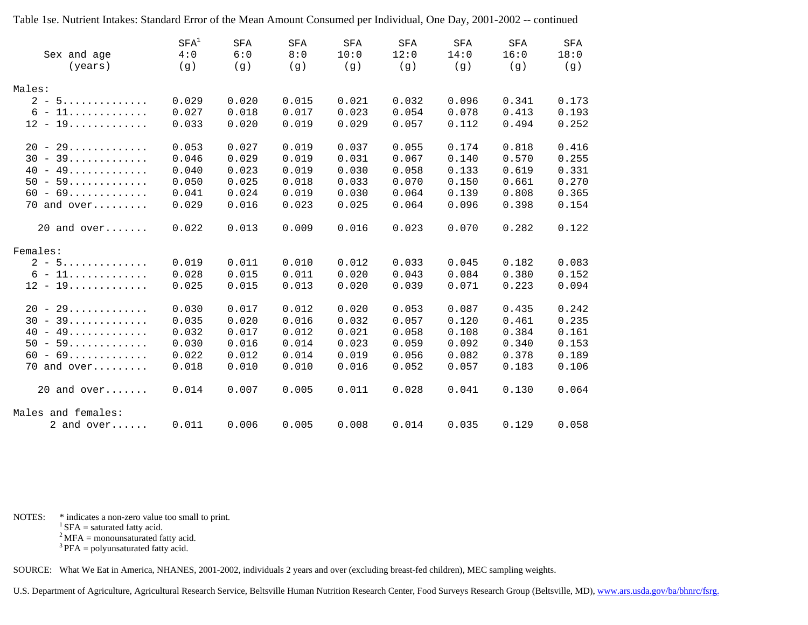|                    | SFA <sup>1</sup> | <b>SFA</b> | <b>SFA</b> | <b>SFA</b> | <b>SFA</b> | <b>SFA</b> | SFA   | <b>SFA</b> |
|--------------------|------------------|------------|------------|------------|------------|------------|-------|------------|
| Sex and age        | 4:0              | 6:0        | 8:0        | 10:0       | 12:0       | 14:0       | 16:0  | 18:0       |
| (years)            | (g)              | (q)        | (q)        | (q)        | (q)        | (g)        | (g)   | (၂၂)       |
|                    |                  |            |            |            |            |            |       |            |
| Males:             |                  |            |            |            |            |            |       |            |
| $2 - 5$            | 0.029            | 0.020      | 0.015      | 0.021      | 0.032      | 0.096      | 0.341 | 0.173      |
| $6 - 11$           | 0.027            | 0.018      | 0.017      | 0.023      | 0.054      | 0.078      | 0.413 | 0.193      |
| $12 - 19$          | 0.033            | 0.020      | 0.019      | 0.029      | 0.057      | 0.112      | 0.494 | 0.252      |
|                    |                  |            |            |            |            |            |       |            |
| $20 - 29$          | 0.053            | 0.027      | 0.019      | 0.037      | 0.055      | 0.174      | 0.818 | 0.416      |
| $30 - 39$          | 0.046            | 0.029      | 0.019      | 0.031      | 0.067      | 0.140      | 0.570 | 0.255      |
| $40 - 49$          | 0.040            | 0.023      | 0.019      | 0.030      | 0.058      | 0.133      | 0.619 | 0.331      |
| $50 - 59$          | 0.050            | 0.025      | 0.018      | 0.033      | 0.070      | 0.150      | 0.661 | 0.270      |
| $60 - 69$          | 0.041            | 0.024      | 0.019      | 0.030      | 0.064      | 0.139      | 0.808 | 0.365      |
| $70$ and over      | 0.029            | 0.016      | 0.023      | 0.025      | 0.064      | 0.096      | 0.398 | 0.154      |
| $20$ and over      | 0.022            | 0.013      | 0.009      | 0.016      | 0.023      | 0.070      | 0.282 | 0.122      |
|                    |                  |            |            |            |            |            |       |            |
| Females:           |                  |            |            |            |            |            |       |            |
| $2 - 5$            | 0.019            | 0.011      | 0.010      | 0.012      | 0.033      | 0.045      | 0.182 | 0.083      |
| $6 - 11$           | 0.028            | 0.015      | 0.011      | 0.020      | 0.043      | 0.084      | 0.380 | 0.152      |
| $12 - 19$          | 0.025            | 0.015      | 0.013      | 0.020      | 0.039      | 0.071      | 0.223 | 0.094      |
|                    |                  |            |            |            |            |            |       |            |
| $20 - 29$          | 0.030            | 0.017      | 0.012      | 0.020      | 0.053      | 0.087      | 0.435 | 0.242      |
| $30 - 39$          | 0.035            | 0.020      | 0.016      | 0.032      | 0.057      | 0.120      | 0.461 | 0.235      |
| $40 - 49$          | 0.032            | 0.017      | 0.012      | 0.021      | 0.058      | 0.108      | 0.384 | 0.161      |
| $50 - 59$          | 0.030            | 0.016      | 0.014      | 0.023      | 0.059      | 0.092      | 0.340 | 0.153      |
| $60 - 69$          | 0.022            | 0.012      | 0.014      | 0.019      | 0.056      | 0.082      | 0.378 | 0.189      |
| $70$ and over      | 0.018            | 0.010      | 0.010      | 0.016      | 0.052      | 0.057      | 0.183 | 0.106      |
|                    |                  |            |            |            |            |            |       |            |
| $20$ and over      | 0.014            | 0.007      | 0.005      | 0.011      | 0.028      | 0.041      | 0.130 | 0.064      |
| Males and females: |                  |            |            |            |            |            |       |            |
| 2 and $over$       | 0.011            | 0.006      | 0.005      | 0.008      | 0.014      | 0.035      | 0.129 | 0.058      |
|                    |                  |            |            |            |            |            |       |            |

NOTES: \* indicates a non-zero value too small to print.

 ${}^{1}$  SFA = saturated fatty acid.

 $2^2$  MFA = monounsaturated fatty acid.

 $3$  PFA = polyunsaturated fatty acid.

SOURCE: What We Eat in America, NHANES, 2001-2002, individuals 2 years and over (excluding breast-fed children), MEC sampling weights.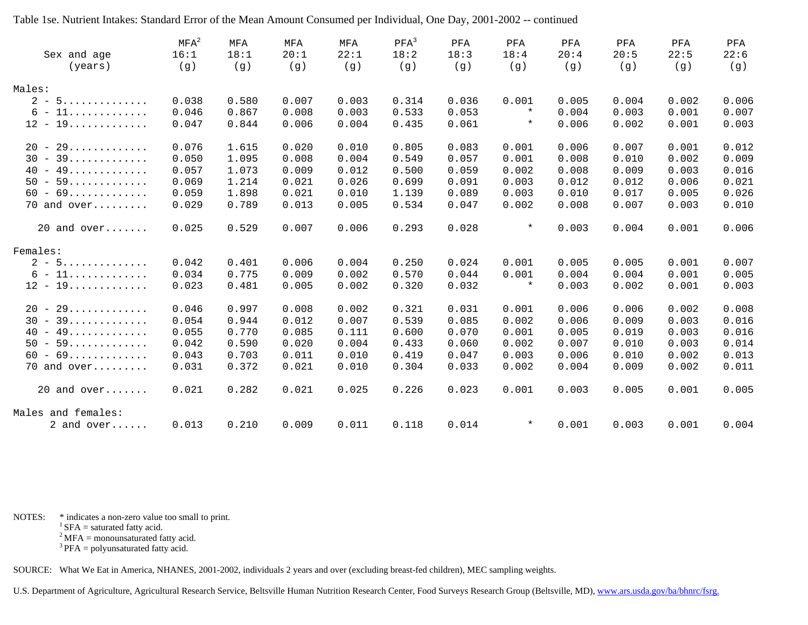|                    | $MFA^2$ | MFA   | MFA   | MFA   | $PFA^3$ | PFA   | PFA     | PFA   | PFA   | PFA   | PFA   |
|--------------------|---------|-------|-------|-------|---------|-------|---------|-------|-------|-------|-------|
| Sex and age        | 16:1    | 18:1  | 20:1  | 22:1  | 18:2    | 18:3  | 18:4    | 20:4  | 20:5  | 22:5  | 22:6  |
| (years)            | (g)     | (g)   | (g)   | (g)   | (g)     | (g)   | (g)     | (၂၂)  | (၂၂)  | (g)   | (g)   |
| Males:             |         |       |       |       |         |       |         |       |       |       |       |
| $2 - 5$            | 0.038   | 0.580 | 0.007 | 0.003 | 0.314   | 0.036 | 0.001   | 0.005 | 0.004 | 0.002 | 0.006 |
| $6 - 11$           | 0.046   | 0.867 | 0.008 | 0.003 | 0.533   | 0.053 | $\star$ | 0.004 | 0.003 | 0.001 | 0.007 |
| $12 - 19$          | 0.047   | 0.844 | 0.006 | 0.004 | 0.435   | 0.061 | $\star$ | 0.006 | 0.002 | 0.001 | 0.003 |
| $20 - 29$          | 0.076   | 1.615 | 0.020 | 0.010 | 0.805   | 0.083 | 0.001   | 0.006 | 0.007 | 0.001 | 0.012 |
| $30 - 39$          | 0.050   | 1.095 | 0.008 | 0.004 | 0.549   | 0.057 | 0.001   | 0.008 | 0.010 | 0.002 | 0.009 |
| $40 - 49$          | 0.057   | 1.073 | 0.009 | 0.012 | 0.500   | 0.059 | 0.002   | 0.008 | 0.009 | 0.003 | 0.016 |
| $50 - 59$          | 0.069   | 1.214 | 0.021 | 0.026 | 0.699   | 0.091 | 0.003   | 0.012 | 0.012 | 0.006 | 0.021 |
| $60 - 69$          | 0.059   | 1.898 | 0.021 | 0.010 | 1.139   | 0.089 | 0.003   | 0.010 | 0.017 | 0.005 | 0.026 |
| 70 and over        | 0.029   | 0.789 | 0.013 | 0.005 | 0.534   | 0.047 | 0.002   | 0.008 | 0.007 | 0.003 | 0.010 |
| $20$ and over      | 0.025   | 0.529 | 0.007 | 0.006 | 0.293   | 0.028 | $\star$ | 0.003 | 0.004 | 0.001 | 0.006 |
| Females:           |         |       |       |       |         |       |         |       |       |       |       |
| $2 - 5$            | 0.042   | 0.401 | 0.006 | 0.004 | 0.250   | 0.024 | 0.001   | 0.005 | 0.005 | 0.001 | 0.007 |
| $6 - 11$           | 0.034   | 0.775 | 0.009 | 0.002 | 0.570   | 0.044 | 0.001   | 0.004 | 0.004 | 0.001 | 0.005 |
| $12 - 19 \dots $   | 0.023   | 0.481 | 0.005 | 0.002 | 0.320   | 0.032 | $\star$ | 0.003 | 0.002 | 0.001 | 0.003 |
| $20 - 29$          | 0.046   | 0.997 | 0.008 | 0.002 | 0.321   | 0.031 | 0.001   | 0.006 | 0.006 | 0.002 | 0.008 |
| $30 - 39$          | 0.054   | 0.944 | 0.012 | 0.007 | 0.539   | 0.085 | 0.002   | 0.006 | 0.009 | 0.003 | 0.016 |
| $40 - 49$          | 0.055   | 0.770 | 0.085 | 0.111 | 0.600   | 0.070 | 0.001   | 0.005 | 0.019 | 0.003 | 0.016 |
| $50 - 59$          | 0.042   | 0.590 | 0.020 | 0.004 | 0.433   | 0.060 | 0.002   | 0.007 | 0.010 | 0.003 | 0.014 |
| $60 - 69$          | 0.043   | 0.703 | 0.011 | 0.010 | 0.419   | 0.047 | 0.003   | 0.006 | 0.010 | 0.002 | 0.013 |
| $70$ and over      | 0.031   | 0.372 | 0.021 | 0.010 | 0.304   | 0.033 | 0.002   | 0.004 | 0.009 | 0.002 | 0.011 |
| $20$ and over      | 0.021   | 0.282 | 0.021 | 0.025 | 0.226   | 0.023 | 0.001   | 0.003 | 0.005 | 0.001 | 0.005 |
| Males and females: |         |       |       |       |         |       |         |       |       |       |       |
| 2 and $over$       | 0.013   | 0.210 | 0.009 | 0.011 | 0.118   | 0.014 | $\star$ | 0.001 | 0.003 | 0.001 | 0.004 |

NOTES: \* indicates a non-zero value too small to print.

 ${}^{1}$  SFA = saturated fatty acid.

 $2^2$  MFA = monounsaturated fatty acid.

 $3$  PFA = polyunsaturated fatty acid.

SOURCE: What We Eat in America, NHANES, 2001-2002, individuals 2 years and over (excluding breast-fed children), MEC sampling weights.